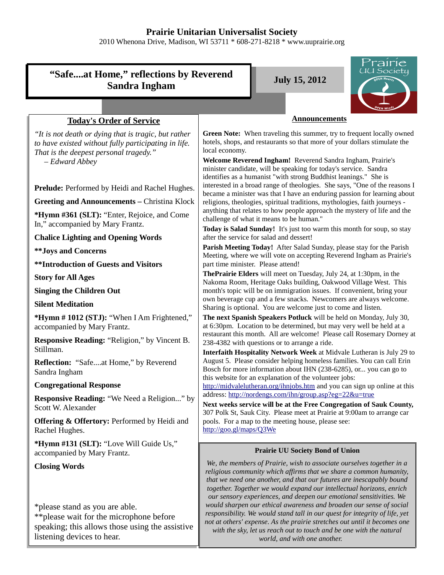# **Prairie Unitarian Universalist Society**

2010 Whenona Drive, Madison, WI 53711 \* 608-271-8218 \* www.uuprairie.org

| <b>Announcements</b><br><b>Today's Order of Service</b><br>Green Note: When traveling this summer, try to frequent locally owned<br>"It is not death or dying that is tragic, but rather<br>hotels, shops, and restaurants so that more of your dollars stimulate the<br>to have existed without fully participating in life.<br>local economy.<br>That is the deepest personal tragedy."<br>Welcome Reverend Ingham! Reverend Sandra Ingham, Prairie's<br>- Edward Abbey<br>minister candidate, will be speaking for today's service. Sandra<br>identifies as a humanist "with strong Buddhist leanings." She is<br>interested in a broad range of theologies. She says, "One of the reasons I<br>Prelude: Performed by Heidi and Rachel Hughes.<br>became a minister was that I have an enduring passion for learning about<br><b>Greeting and Announcements - Christina Klock</b><br>religions, theologies, spiritual traditions, mythologies, faith journeys -<br>anything that relates to how people approach the mystery of life and the<br>*Hymn #361 (SLT): "Enter, Rejoice, and Come<br>challenge of what it means to be human."<br>In," accompanied by Mary Frantz.<br>Today is Salad Sunday! It's just too warm this month for soup, so stay<br><b>Chalice Lighting and Opening Words</b><br>after the service for salad and dessert!<br>Parish Meeting Today! After Salad Sunday, please stay for the Parish<br>** Joys and Concerns<br>Meeting, where we will vote on accepting Reverend Ingham as Prairie's<br><b>**Introduction of Guests and Visitors</b><br>part time minister. Please attend!<br>The Prairie Elders will meet on Tuesday, July 24, at 1:30pm, in the<br><b>Story for All Ages</b><br>Nakoma Room, Heritage Oaks building, Oakwood Village West. This<br><b>Singing the Children Out</b><br>month's topic will be on immigration issues. If convenient, bring your<br>own beverage cup and a few snacks. Newcomers are always welcome.<br><b>Silent Meditation</b><br>Sharing is optional. You are welcome just to come and listen.<br>*Hymn #1012 (STJ): "When I Am Frightened,"<br>The next Spanish Speakers Potluck will be held on Monday, July 30,<br>at 6:30pm. Location to be determined, but may very well be held at a<br>accompanied by Mary Frantz.<br>restaurant this month. All are welcome! Please call Rosemary Dorney at<br><b>Responsive Reading: "Religion," by Vincent B.</b><br>238-4382 with questions or to arrange a ride.<br>Stillman.<br>Interfaith Hospitality Network Week at Midvale Lutheran is July 29 to<br>August 5. Please consider helping homeless families. You can call Erin<br>Reflection: "Safeat Home," by Reverend<br>Bosch for more information about IHN (238-6285), or you can go to<br>Sandra Ingham<br>this website for an explanation of the volunteer jobs:<br><b>Congregational Response</b><br>http://midvalelutheran.org/ihnjobs.htm and you can sign up online at this<br>address: http://nordengs.com/ihn/group.asp?eg=22&u=true<br><b>Responsive Reading: "We Need a Religion" by</b><br>Next weeks service will be at the Free Congregation of Sauk County,<br>Scott W. Alexander<br>307 Polk St, Sauk City. Please meet at Prairie at 9:00am to arrange car<br><b>Offering &amp; Offertory: Performed by Heidi and</b><br>pools. For a map to the meeting house, please see:<br>http://goo.gl/maps/Q3We<br>Rachel Hughes.<br>*Hymn #131 (SLT): "Love Will Guide Us,"<br><b>Prairie UU Society Bond of Union</b><br>accompanied by Mary Frantz.<br>We, the members of Prairie, wish to associate ourselves together in a<br><b>Closing Words</b><br>religious community which affirms that we share a common humanity,<br>that we need one another, and that our futures are inescapably bound<br>together. Together we would expand our intellectual horizons, enrich<br>our sensory experiences, and deepen our emotional sensitivities. We<br>would sharpen our ethical awareness and broaden our sense of social<br>*please stand as you are able.<br>responsibility. We would stand tall in our quest for integrity of life, yet<br>** please wait for the microphone before<br>not at others' expense. As the prairie stretches out until it becomes one<br>speaking; this allows those using the assistive<br>with the sky, let us reach out to touch and be one with the natural<br>listening devices to hear.<br>world, and with one another. | "Safeat Home," reflections by Reverend<br><b>Sandra Ingham</b> | Prairie<br><u>UU Society</u><br><b>July 15, 2012</b> |
|------------------------------------------------------------------------------------------------------------------------------------------------------------------------------------------------------------------------------------------------------------------------------------------------------------------------------------------------------------------------------------------------------------------------------------------------------------------------------------------------------------------------------------------------------------------------------------------------------------------------------------------------------------------------------------------------------------------------------------------------------------------------------------------------------------------------------------------------------------------------------------------------------------------------------------------------------------------------------------------------------------------------------------------------------------------------------------------------------------------------------------------------------------------------------------------------------------------------------------------------------------------------------------------------------------------------------------------------------------------------------------------------------------------------------------------------------------------------------------------------------------------------------------------------------------------------------------------------------------------------------------------------------------------------------------------------------------------------------------------------------------------------------------------------------------------------------------------------------------------------------------------------------------------------------------------------------------------------------------------------------------------------------------------------------------------------------------------------------------------------------------------------------------------------------------------------------------------------------------------------------------------------------------------------------------------------------------------------------------------------------------------------------------------------------------------------------------------------------------------------------------------------------------------------------------------------------------------------------------------------------------------------------------------------------------------------------------------------------------------------------------------------------------------------------------------------------------------------------------------------------------------------------------------------------------------------------------------------------------------------------------------------------------------------------------------------------------------------------------------------------------------------------------------------------------------------------------------------------------------------------------------------------------------------------------------------------------------------------------------------------------------------------------------------------------------------------------------------------------------------------------------------------------------------------------------------------------------------------------------------------------------------------------------------------------------------------------------------------------------------------------------------------------------------------------------------------------------------------------------------------------------------------------------------------------------------------------------------------------------------------------------------------------------------------------------------------------------------------------------------------------------------------------------------------------------------------------------------------------------------------------------------------------------------------------------------------------------------------------------------------------------------------------------------------------------------|----------------------------------------------------------------|------------------------------------------------------|
|                                                                                                                                                                                                                                                                                                                                                                                                                                                                                                                                                                                                                                                                                                                                                                                                                                                                                                                                                                                                                                                                                                                                                                                                                                                                                                                                                                                                                                                                                                                                                                                                                                                                                                                                                                                                                                                                                                                                                                                                                                                                                                                                                                                                                                                                                                                                                                                                                                                                                                                                                                                                                                                                                                                                                                                                                                                                                                                                                                                                                                                                                                                                                                                                                                                                                                                                                                                                                                                                                                                                                                                                                                                                                                                                                                                                                                                                                                                                                                                                                                                                                                                                                                                                                                                                                                                                                                                                                                                |                                                                |                                                      |
|                                                                                                                                                                                                                                                                                                                                                                                                                                                                                                                                                                                                                                                                                                                                                                                                                                                                                                                                                                                                                                                                                                                                                                                                                                                                                                                                                                                                                                                                                                                                                                                                                                                                                                                                                                                                                                                                                                                                                                                                                                                                                                                                                                                                                                                                                                                                                                                                                                                                                                                                                                                                                                                                                                                                                                                                                                                                                                                                                                                                                                                                                                                                                                                                                                                                                                                                                                                                                                                                                                                                                                                                                                                                                                                                                                                                                                                                                                                                                                                                                                                                                                                                                                                                                                                                                                                                                                                                                                                |                                                                |                                                      |
|                                                                                                                                                                                                                                                                                                                                                                                                                                                                                                                                                                                                                                                                                                                                                                                                                                                                                                                                                                                                                                                                                                                                                                                                                                                                                                                                                                                                                                                                                                                                                                                                                                                                                                                                                                                                                                                                                                                                                                                                                                                                                                                                                                                                                                                                                                                                                                                                                                                                                                                                                                                                                                                                                                                                                                                                                                                                                                                                                                                                                                                                                                                                                                                                                                                                                                                                                                                                                                                                                                                                                                                                                                                                                                                                                                                                                                                                                                                                                                                                                                                                                                                                                                                                                                                                                                                                                                                                                                                |                                                                |                                                      |
|                                                                                                                                                                                                                                                                                                                                                                                                                                                                                                                                                                                                                                                                                                                                                                                                                                                                                                                                                                                                                                                                                                                                                                                                                                                                                                                                                                                                                                                                                                                                                                                                                                                                                                                                                                                                                                                                                                                                                                                                                                                                                                                                                                                                                                                                                                                                                                                                                                                                                                                                                                                                                                                                                                                                                                                                                                                                                                                                                                                                                                                                                                                                                                                                                                                                                                                                                                                                                                                                                                                                                                                                                                                                                                                                                                                                                                                                                                                                                                                                                                                                                                                                                                                                                                                                                                                                                                                                                                                |                                                                |                                                      |
|                                                                                                                                                                                                                                                                                                                                                                                                                                                                                                                                                                                                                                                                                                                                                                                                                                                                                                                                                                                                                                                                                                                                                                                                                                                                                                                                                                                                                                                                                                                                                                                                                                                                                                                                                                                                                                                                                                                                                                                                                                                                                                                                                                                                                                                                                                                                                                                                                                                                                                                                                                                                                                                                                                                                                                                                                                                                                                                                                                                                                                                                                                                                                                                                                                                                                                                                                                                                                                                                                                                                                                                                                                                                                                                                                                                                                                                                                                                                                                                                                                                                                                                                                                                                                                                                                                                                                                                                                                                |                                                                |                                                      |
|                                                                                                                                                                                                                                                                                                                                                                                                                                                                                                                                                                                                                                                                                                                                                                                                                                                                                                                                                                                                                                                                                                                                                                                                                                                                                                                                                                                                                                                                                                                                                                                                                                                                                                                                                                                                                                                                                                                                                                                                                                                                                                                                                                                                                                                                                                                                                                                                                                                                                                                                                                                                                                                                                                                                                                                                                                                                                                                                                                                                                                                                                                                                                                                                                                                                                                                                                                                                                                                                                                                                                                                                                                                                                                                                                                                                                                                                                                                                                                                                                                                                                                                                                                                                                                                                                                                                                                                                                                                |                                                                |                                                      |
|                                                                                                                                                                                                                                                                                                                                                                                                                                                                                                                                                                                                                                                                                                                                                                                                                                                                                                                                                                                                                                                                                                                                                                                                                                                                                                                                                                                                                                                                                                                                                                                                                                                                                                                                                                                                                                                                                                                                                                                                                                                                                                                                                                                                                                                                                                                                                                                                                                                                                                                                                                                                                                                                                                                                                                                                                                                                                                                                                                                                                                                                                                                                                                                                                                                                                                                                                                                                                                                                                                                                                                                                                                                                                                                                                                                                                                                                                                                                                                                                                                                                                                                                                                                                                                                                                                                                                                                                                                                |                                                                |                                                      |
|                                                                                                                                                                                                                                                                                                                                                                                                                                                                                                                                                                                                                                                                                                                                                                                                                                                                                                                                                                                                                                                                                                                                                                                                                                                                                                                                                                                                                                                                                                                                                                                                                                                                                                                                                                                                                                                                                                                                                                                                                                                                                                                                                                                                                                                                                                                                                                                                                                                                                                                                                                                                                                                                                                                                                                                                                                                                                                                                                                                                                                                                                                                                                                                                                                                                                                                                                                                                                                                                                                                                                                                                                                                                                                                                                                                                                                                                                                                                                                                                                                                                                                                                                                                                                                                                                                                                                                                                                                                |                                                                |                                                      |
|                                                                                                                                                                                                                                                                                                                                                                                                                                                                                                                                                                                                                                                                                                                                                                                                                                                                                                                                                                                                                                                                                                                                                                                                                                                                                                                                                                                                                                                                                                                                                                                                                                                                                                                                                                                                                                                                                                                                                                                                                                                                                                                                                                                                                                                                                                                                                                                                                                                                                                                                                                                                                                                                                                                                                                                                                                                                                                                                                                                                                                                                                                                                                                                                                                                                                                                                                                                                                                                                                                                                                                                                                                                                                                                                                                                                                                                                                                                                                                                                                                                                                                                                                                                                                                                                                                                                                                                                                                                |                                                                |                                                      |
|                                                                                                                                                                                                                                                                                                                                                                                                                                                                                                                                                                                                                                                                                                                                                                                                                                                                                                                                                                                                                                                                                                                                                                                                                                                                                                                                                                                                                                                                                                                                                                                                                                                                                                                                                                                                                                                                                                                                                                                                                                                                                                                                                                                                                                                                                                                                                                                                                                                                                                                                                                                                                                                                                                                                                                                                                                                                                                                                                                                                                                                                                                                                                                                                                                                                                                                                                                                                                                                                                                                                                                                                                                                                                                                                                                                                                                                                                                                                                                                                                                                                                                                                                                                                                                                                                                                                                                                                                                                |                                                                |                                                      |
|                                                                                                                                                                                                                                                                                                                                                                                                                                                                                                                                                                                                                                                                                                                                                                                                                                                                                                                                                                                                                                                                                                                                                                                                                                                                                                                                                                                                                                                                                                                                                                                                                                                                                                                                                                                                                                                                                                                                                                                                                                                                                                                                                                                                                                                                                                                                                                                                                                                                                                                                                                                                                                                                                                                                                                                                                                                                                                                                                                                                                                                                                                                                                                                                                                                                                                                                                                                                                                                                                                                                                                                                                                                                                                                                                                                                                                                                                                                                                                                                                                                                                                                                                                                                                                                                                                                                                                                                                                                |                                                                |                                                      |
|                                                                                                                                                                                                                                                                                                                                                                                                                                                                                                                                                                                                                                                                                                                                                                                                                                                                                                                                                                                                                                                                                                                                                                                                                                                                                                                                                                                                                                                                                                                                                                                                                                                                                                                                                                                                                                                                                                                                                                                                                                                                                                                                                                                                                                                                                                                                                                                                                                                                                                                                                                                                                                                                                                                                                                                                                                                                                                                                                                                                                                                                                                                                                                                                                                                                                                                                                                                                                                                                                                                                                                                                                                                                                                                                                                                                                                                                                                                                                                                                                                                                                                                                                                                                                                                                                                                                                                                                                                                |                                                                |                                                      |
|                                                                                                                                                                                                                                                                                                                                                                                                                                                                                                                                                                                                                                                                                                                                                                                                                                                                                                                                                                                                                                                                                                                                                                                                                                                                                                                                                                                                                                                                                                                                                                                                                                                                                                                                                                                                                                                                                                                                                                                                                                                                                                                                                                                                                                                                                                                                                                                                                                                                                                                                                                                                                                                                                                                                                                                                                                                                                                                                                                                                                                                                                                                                                                                                                                                                                                                                                                                                                                                                                                                                                                                                                                                                                                                                                                                                                                                                                                                                                                                                                                                                                                                                                                                                                                                                                                                                                                                                                                                |                                                                |                                                      |
|                                                                                                                                                                                                                                                                                                                                                                                                                                                                                                                                                                                                                                                                                                                                                                                                                                                                                                                                                                                                                                                                                                                                                                                                                                                                                                                                                                                                                                                                                                                                                                                                                                                                                                                                                                                                                                                                                                                                                                                                                                                                                                                                                                                                                                                                                                                                                                                                                                                                                                                                                                                                                                                                                                                                                                                                                                                                                                                                                                                                                                                                                                                                                                                                                                                                                                                                                                                                                                                                                                                                                                                                                                                                                                                                                                                                                                                                                                                                                                                                                                                                                                                                                                                                                                                                                                                                                                                                                                                |                                                                |                                                      |
|                                                                                                                                                                                                                                                                                                                                                                                                                                                                                                                                                                                                                                                                                                                                                                                                                                                                                                                                                                                                                                                                                                                                                                                                                                                                                                                                                                                                                                                                                                                                                                                                                                                                                                                                                                                                                                                                                                                                                                                                                                                                                                                                                                                                                                                                                                                                                                                                                                                                                                                                                                                                                                                                                                                                                                                                                                                                                                                                                                                                                                                                                                                                                                                                                                                                                                                                                                                                                                                                                                                                                                                                                                                                                                                                                                                                                                                                                                                                                                                                                                                                                                                                                                                                                                                                                                                                                                                                                                                |                                                                |                                                      |
|                                                                                                                                                                                                                                                                                                                                                                                                                                                                                                                                                                                                                                                                                                                                                                                                                                                                                                                                                                                                                                                                                                                                                                                                                                                                                                                                                                                                                                                                                                                                                                                                                                                                                                                                                                                                                                                                                                                                                                                                                                                                                                                                                                                                                                                                                                                                                                                                                                                                                                                                                                                                                                                                                                                                                                                                                                                                                                                                                                                                                                                                                                                                                                                                                                                                                                                                                                                                                                                                                                                                                                                                                                                                                                                                                                                                                                                                                                                                                                                                                                                                                                                                                                                                                                                                                                                                                                                                                                                |                                                                |                                                      |
|                                                                                                                                                                                                                                                                                                                                                                                                                                                                                                                                                                                                                                                                                                                                                                                                                                                                                                                                                                                                                                                                                                                                                                                                                                                                                                                                                                                                                                                                                                                                                                                                                                                                                                                                                                                                                                                                                                                                                                                                                                                                                                                                                                                                                                                                                                                                                                                                                                                                                                                                                                                                                                                                                                                                                                                                                                                                                                                                                                                                                                                                                                                                                                                                                                                                                                                                                                                                                                                                                                                                                                                                                                                                                                                                                                                                                                                                                                                                                                                                                                                                                                                                                                                                                                                                                                                                                                                                                                                |                                                                |                                                      |
|                                                                                                                                                                                                                                                                                                                                                                                                                                                                                                                                                                                                                                                                                                                                                                                                                                                                                                                                                                                                                                                                                                                                                                                                                                                                                                                                                                                                                                                                                                                                                                                                                                                                                                                                                                                                                                                                                                                                                                                                                                                                                                                                                                                                                                                                                                                                                                                                                                                                                                                                                                                                                                                                                                                                                                                                                                                                                                                                                                                                                                                                                                                                                                                                                                                                                                                                                                                                                                                                                                                                                                                                                                                                                                                                                                                                                                                                                                                                                                                                                                                                                                                                                                                                                                                                                                                                                                                                                                                |                                                                |                                                      |
|                                                                                                                                                                                                                                                                                                                                                                                                                                                                                                                                                                                                                                                                                                                                                                                                                                                                                                                                                                                                                                                                                                                                                                                                                                                                                                                                                                                                                                                                                                                                                                                                                                                                                                                                                                                                                                                                                                                                                                                                                                                                                                                                                                                                                                                                                                                                                                                                                                                                                                                                                                                                                                                                                                                                                                                                                                                                                                                                                                                                                                                                                                                                                                                                                                                                                                                                                                                                                                                                                                                                                                                                                                                                                                                                                                                                                                                                                                                                                                                                                                                                                                                                                                                                                                                                                                                                                                                                                                                |                                                                |                                                      |
|                                                                                                                                                                                                                                                                                                                                                                                                                                                                                                                                                                                                                                                                                                                                                                                                                                                                                                                                                                                                                                                                                                                                                                                                                                                                                                                                                                                                                                                                                                                                                                                                                                                                                                                                                                                                                                                                                                                                                                                                                                                                                                                                                                                                                                                                                                                                                                                                                                                                                                                                                                                                                                                                                                                                                                                                                                                                                                                                                                                                                                                                                                                                                                                                                                                                                                                                                                                                                                                                                                                                                                                                                                                                                                                                                                                                                                                                                                                                                                                                                                                                                                                                                                                                                                                                                                                                                                                                                                                |                                                                |                                                      |
|                                                                                                                                                                                                                                                                                                                                                                                                                                                                                                                                                                                                                                                                                                                                                                                                                                                                                                                                                                                                                                                                                                                                                                                                                                                                                                                                                                                                                                                                                                                                                                                                                                                                                                                                                                                                                                                                                                                                                                                                                                                                                                                                                                                                                                                                                                                                                                                                                                                                                                                                                                                                                                                                                                                                                                                                                                                                                                                                                                                                                                                                                                                                                                                                                                                                                                                                                                                                                                                                                                                                                                                                                                                                                                                                                                                                                                                                                                                                                                                                                                                                                                                                                                                                                                                                                                                                                                                                                                                |                                                                |                                                      |